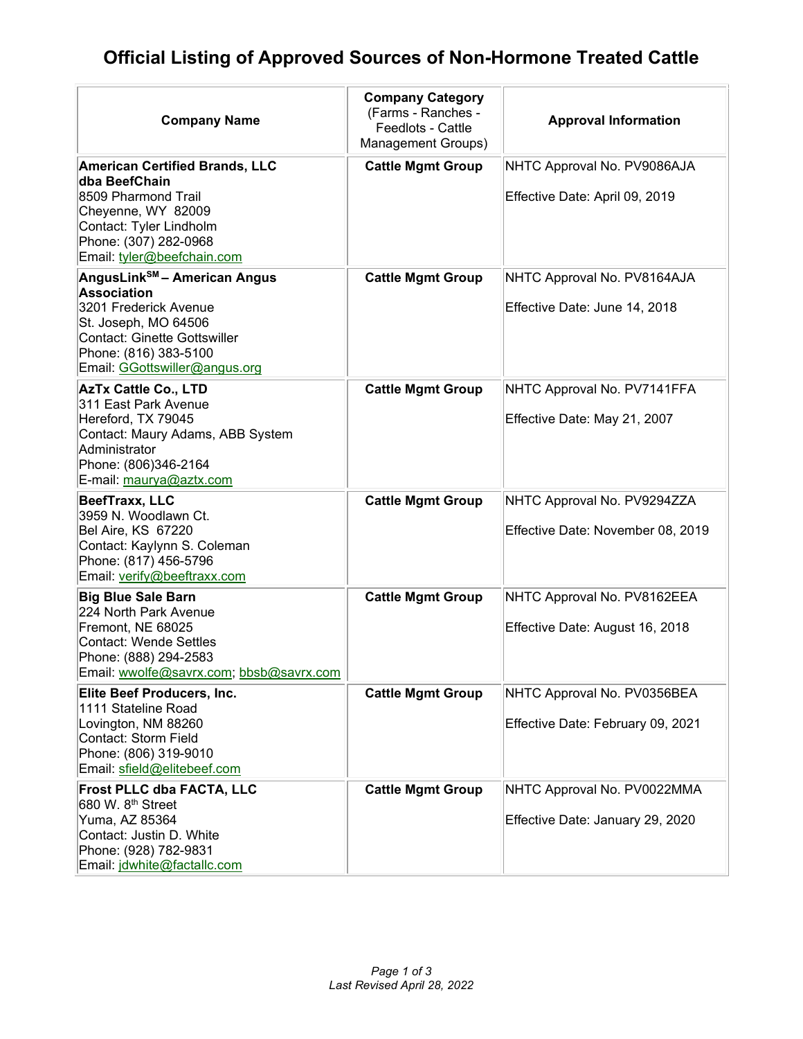## **Official Listing of Approved Sources of Non-Hormone Treated Cattle**

| <b>Company Name</b>                                                                                                                                                                                              | <b>Company Category</b><br>(Farms - Ranches -<br>Feedlots - Cattle<br>Management Groups) | <b>Approval Information</b>                                      |
|------------------------------------------------------------------------------------------------------------------------------------------------------------------------------------------------------------------|------------------------------------------------------------------------------------------|------------------------------------------------------------------|
| <b>American Certified Brands, LLC</b><br>dba BeefChain<br>8509 Pharmond Trail<br>Cheyenne, WY 82009<br>Contact: Tyler Lindholm<br>Phone: (307) 282-0968<br>Email: tyler@beefchain.com                            | <b>Cattle Mgmt Group</b>                                                                 | NHTC Approval No. PV9086AJA<br>Effective Date: April 09, 2019    |
| AngusLink <sup>SM</sup> - American Angus<br><b>Association</b><br>3201 Frederick Avenue<br>St. Joseph, MO 64506<br><b>Contact: Ginette Gottswiller</b><br>Phone: (816) 383-5100<br>Email: GGottswiller@angus.org | <b>Cattle Mgmt Group</b>                                                                 | NHTC Approval No. PV8164AJA<br>Effective Date: June 14, 2018     |
| <b>AzTx Cattle Co., LTD</b><br>311 East Park Avenue<br>Hereford, TX 79045<br>Contact: Maury Adams, ABB System<br>Administrator<br>Phone: (806)346-2164<br>E-mail: maurya@aztx.com                                | <b>Cattle Mgmt Group</b>                                                                 | NHTC Approval No. PV7141FFA<br>Effective Date: May 21, 2007      |
| BeefTraxx, LLC<br>3959 N. Woodlawn Ct.<br><b>Bel Aire, KS 67220</b><br>Contact: Kaylynn S. Coleman<br>Phone: (817) 456-5796<br>Email: verify@beeftraxx.com                                                       | <b>Cattle Mgmt Group</b>                                                                 | NHTC Approval No. PV9294ZZA<br>Effective Date: November 08, 2019 |
| <b>Big Blue Sale Barn</b><br>224 North Park Avenue<br>Fremont, NE 68025<br><b>Contact: Wende Settles</b><br>Phone: (888) 294-2583<br>Email: wwolfe@savrx.com; bbsb@savrx.com                                     | <b>Cattle Mgmt Group</b>                                                                 | NHTC Approval No. PV8162EEA<br>Effective Date: August 16, 2018   |
| Elite Beef Producers, Inc.<br>1111 Stateline Road<br>Lovington, NM 88260<br>Contact: Storm Field<br>Phone: (806) 319-9010<br>Email: sfield@elitebeef.com                                                         | <b>Cattle Mgmt Group</b>                                                                 | NHTC Approval No. PV0356BEA<br>Effective Date: February 09, 2021 |
| Frost PLLC dba FACTA, LLC<br>680 W. 8 <sup>th</sup> Street<br>Yuma, AZ 85364<br>Contact: Justin D. White<br>Phone: (928) 782-9831<br>Email: jdwhite@factallc.com                                                 | <b>Cattle Mgmt Group</b>                                                                 | NHTC Approval No. PV0022MMA<br>Effective Date: January 29, 2020  |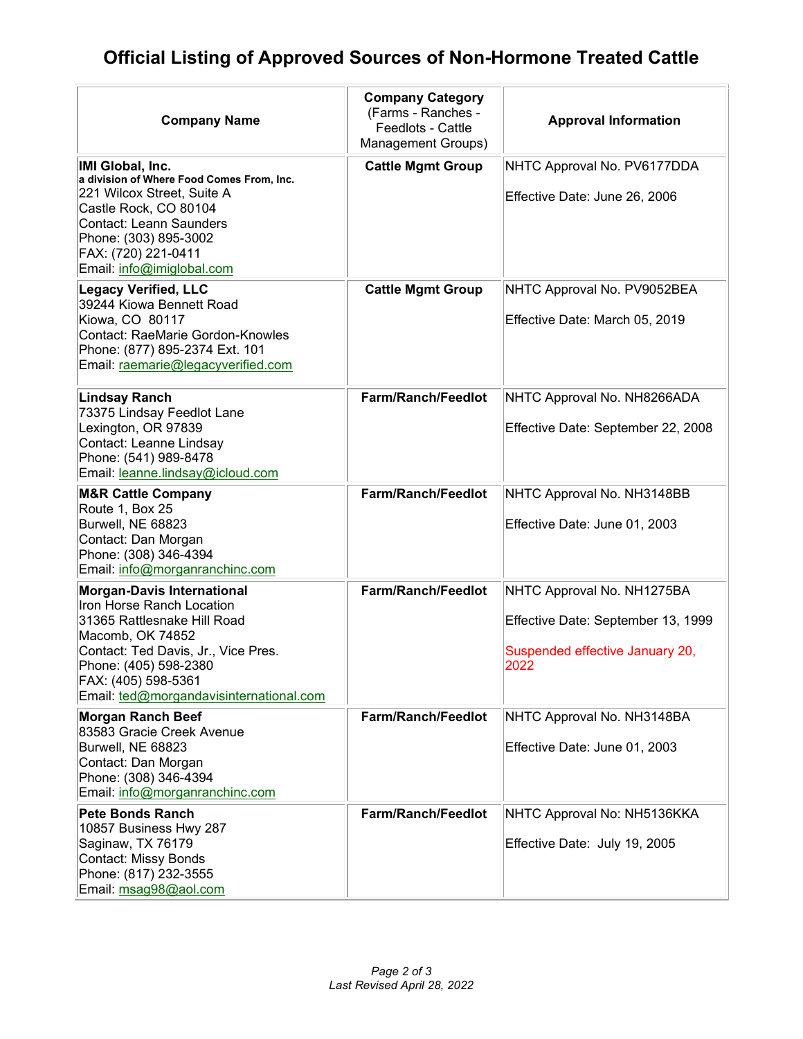## **Official Listing of Approved Sources of Non-Hormone Treated Cattle**

| <b>Company Name</b>                                                                                                                                                                                                                                 | <b>Company Category</b><br>(Farms - Ranches -<br>Feedlots - Cattle<br>Management Groups) | <b>Approval Information</b>                                                                                 |
|-----------------------------------------------------------------------------------------------------------------------------------------------------------------------------------------------------------------------------------------------------|------------------------------------------------------------------------------------------|-------------------------------------------------------------------------------------------------------------|
| IMI Global, Inc.<br>a division of Where Food Comes From, Inc.<br>221 Wilcox Street, Suite A<br>Castle Rock, CO 80104<br>Contact: Leann Saunders<br>Phone: (303) 895-3002<br>FAX: (720) 221-0411<br>Email: info@imiglobal.com                        | <b>Cattle Mgmt Group</b>                                                                 | NHTC Approval No. PV6177DDA<br>Effective Date: June 26, 2006                                                |
| <b>Legacy Verified, LLC</b><br>39244 Kiowa Bennett Road<br>Kiowa, CO 80117<br><b>Contact: RaeMarie Gordon-Knowles</b><br>Phone: (877) 895-2374 Ext. 101<br>Email: raemarie@legacyverified.com                                                       | <b>Cattle Mgmt Group</b>                                                                 | NHTC Approval No. PV9052BEA<br>Effective Date: March 05, 2019                                               |
| <b>Lindsay Ranch</b><br>73375 Lindsay Feedlot Lane<br>Lexington, OR 97839<br>Contact: Leanne Lindsay<br>Phone: (541) 989-8478<br>Email: leanne.lindsay@icloud.com                                                                                   | <b>Farm/Ranch/Feedlot</b>                                                                | NHTC Approval No. NH8266ADA<br>Effective Date: September 22, 2008                                           |
| <b>M&amp;R Cattle Company</b><br>Route 1, Box 25<br>Burwell, NE 68823<br>Contact: Dan Morgan<br>Phone: (308) 346-4394<br>Email: info@morganranchinc.com                                                                                             | Farm/Ranch/Feedlot                                                                       | NHTC Approval No. NH3148BB<br>Effective Date: June 01, 2003                                                 |
| <b>Morgan-Davis International</b><br>Iron Horse Ranch Location<br>31365 Rattlesnake Hill Road<br>Macomb, OK 74852<br>Contact: Ted Davis, Jr., Vice Pres.<br>Phone: (405) 598-2380<br>FAX: (405) 598-5361<br>Email: ted@morgandavisinternational.com | Farm/Ranch/Feedlot                                                                       | NHTC Approval No. NH1275BA<br>Effective Date: September 13, 1999<br>Suspended effective January 20,<br>2022 |
| <b>Morgan Ranch Beef</b><br>83583 Gracie Creek Avenue<br>Burwell, NE 68823<br>Contact: Dan Morgan<br>Phone: (308) 346-4394<br>Email: info@morganranchinc.com                                                                                        | <b>Farm/Ranch/Feedlot</b>                                                                | NHTC Approval No. NH3148BA<br>Effective Date: June 01, 2003                                                 |
| <b>Pete Bonds Ranch</b><br>10857 Business Hwy 287<br>Saginaw, TX 76179<br><b>Contact: Missy Bonds</b><br>Phone: (817) 232-3555<br>Email: msag98@aol.com                                                                                             | <b>Farm/Ranch/Feedlot</b>                                                                | NHTC Approval No: NH5136KKA<br>Effective Date: July 19, 2005                                                |